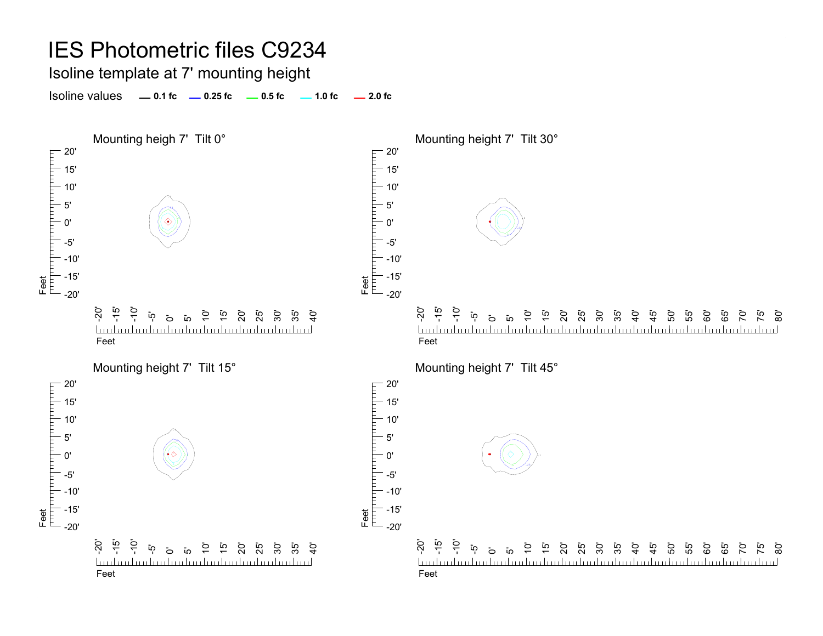Isoline template at 7' mounting height

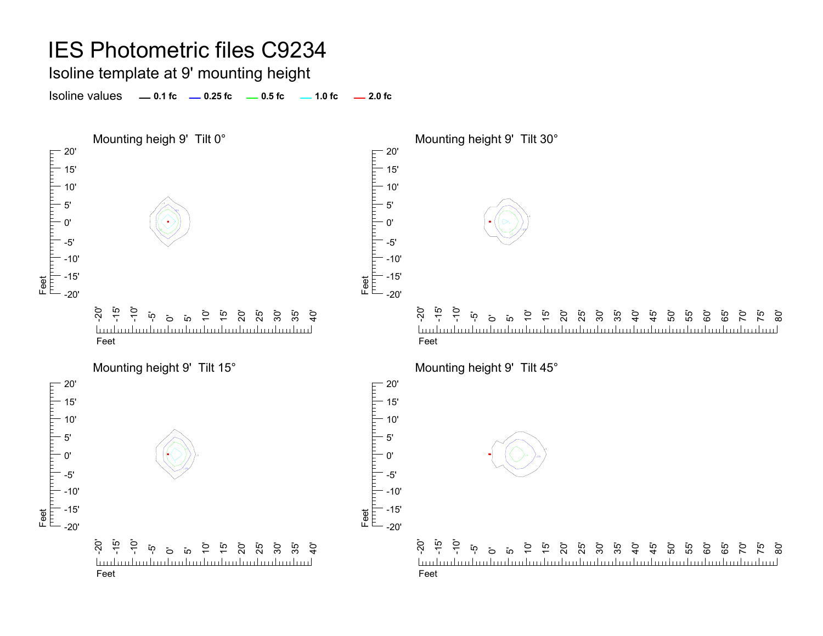Isoline template at 9' mounting height

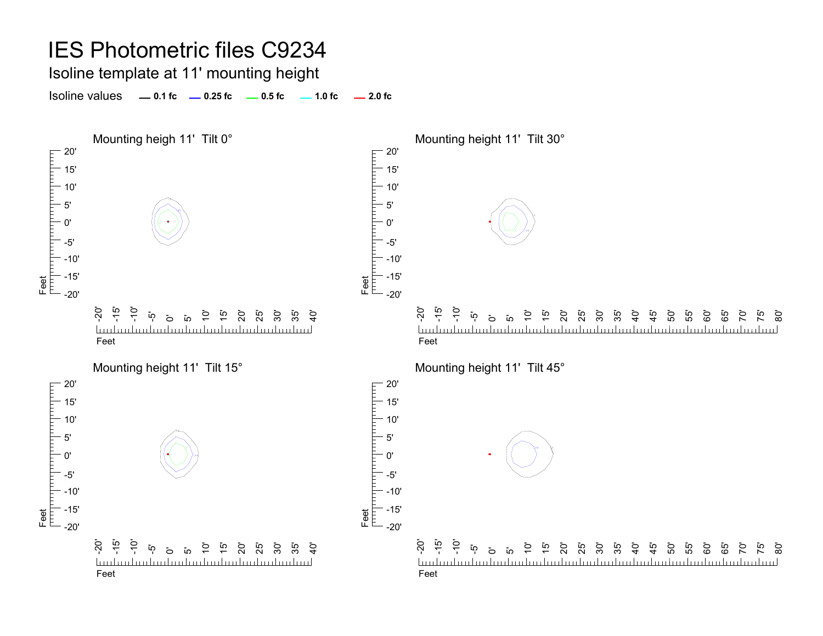Isoline template at 11' mounting height

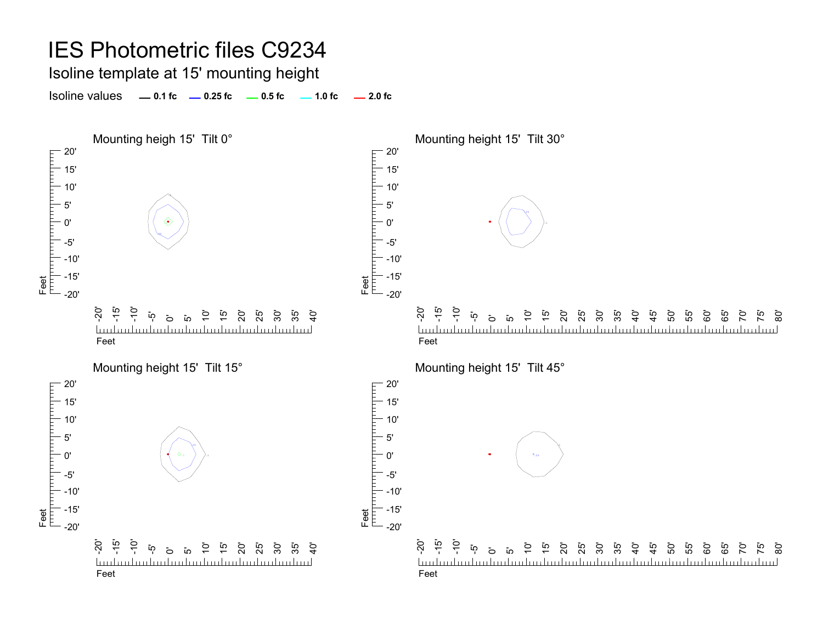Isoline template at 15' mounting height

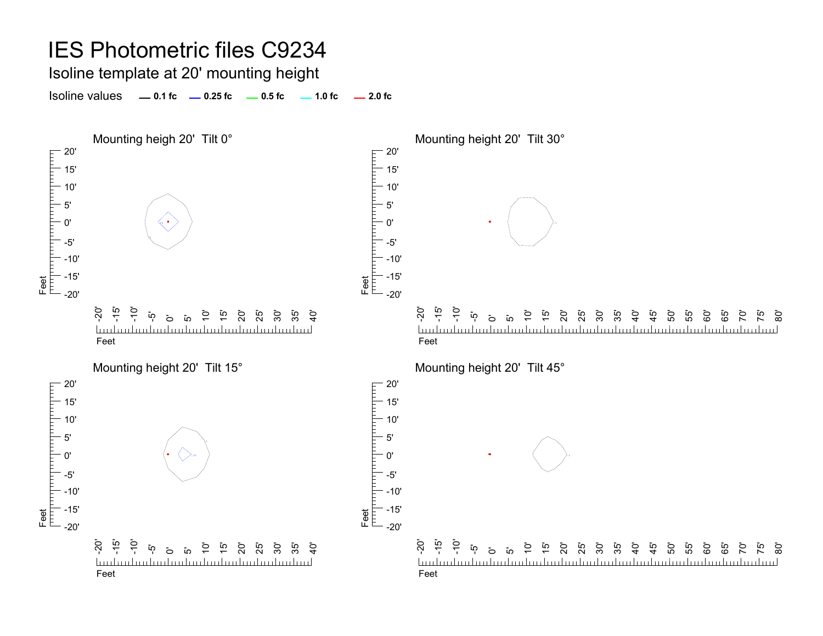Isoline template at 20' mounting height